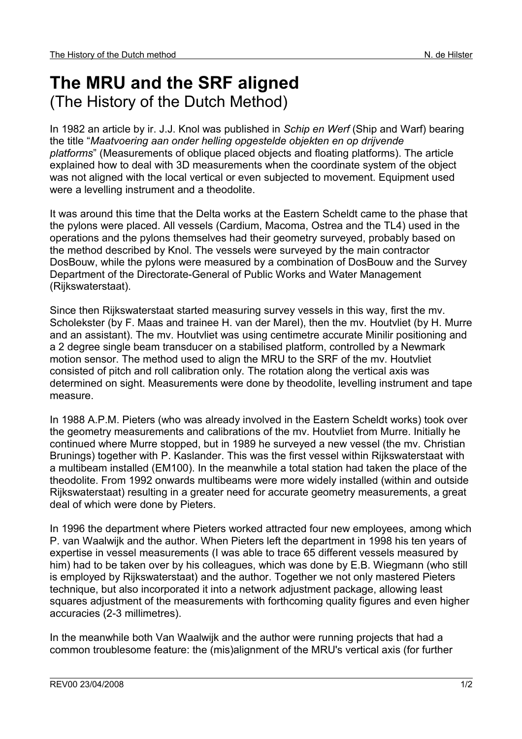## **The MRU and the SRF aligned**  (The History of the Dutch Method)

In 1982 an article by ir. J.J. Knol was published in *Schip en Werf* (Ship and Warf) bearing the title "*Maatvoering aan onder helling opgestelde objekten en op drijvende platforms*" (Measurements of oblique placed objects and floating platforms). The article explained how to deal with 3D measurements when the coordinate system of the object was not aligned with the local vertical or even subjected to movement. Equipment used were a levelling instrument and a theodolite.

It was around this time that the Delta works at the Eastern Scheldt came to the phase that the pylons were placed. All vessels (Cardium, Macoma, Ostrea and the TL4) used in the operations and the pylons themselves had their geometry surveyed, probably based on the method described by Knol. The vessels were surveyed by the main contractor DosBouw, while the pylons were measured by a combination of DosBouw and the Survey Department of the Directorate-General of Public Works and Water Management (Rijkswaterstaat).

Since then Rijkswaterstaat started measuring survey vessels in this way, first the mv. Scholekster (by F. Maas and trainee H. van der Marel), then the mv. Houtvliet (by H. Murre and an assistant). The mv. Houtvliet was using centimetre accurate Minilir positioning and a 2 degree single beam transducer on a stabilised platform, controlled by a Newmark motion sensor. The method used to align the MRU to the SRF of the mv. Houtvliet consisted of pitch and roll calibration only. The rotation along the vertical axis was determined on sight. Measurements were done by theodolite, levelling instrument and tape measure.

In 1988 A.P.M. Pieters (who was already involved in the Eastern Scheldt works) took over the geometry measurements and calibrations of the mv. Houtvliet from Murre. Initially he continued where Murre stopped, but in 1989 he surveyed a new vessel (the mv. Christian Brunings) together with P. Kaslander. This was the first vessel within Rijkswaterstaat with a multibeam installed (EM100). In the meanwhile a total station had taken the place of the theodolite. From 1992 onwards multibeams were more widely installed (within and outside Rijkswaterstaat) resulting in a greater need for accurate geometry measurements, a great deal of which were done by Pieters.

In 1996 the department where Pieters worked attracted four new employees, among which P. van Waalwijk and the author. When Pieters left the department in 1998 his ten years of expertise in vessel measurements (I was able to trace 65 different vessels measured by him) had to be taken over by his colleagues, which was done by E.B. Wiegmann (who still is employed by Rijkswaterstaat) and the author. Together we not only mastered Pieters technique, but also incorporated it into a network adjustment package, allowing least squares adjustment of the measurements with forthcoming quality figures and even higher accuracies (2-3 millimetres).

In the meanwhile both Van Waalwijk and the author were running projects that had a common troublesome feature: the (mis)alignment of the MRU's vertical axis (for further